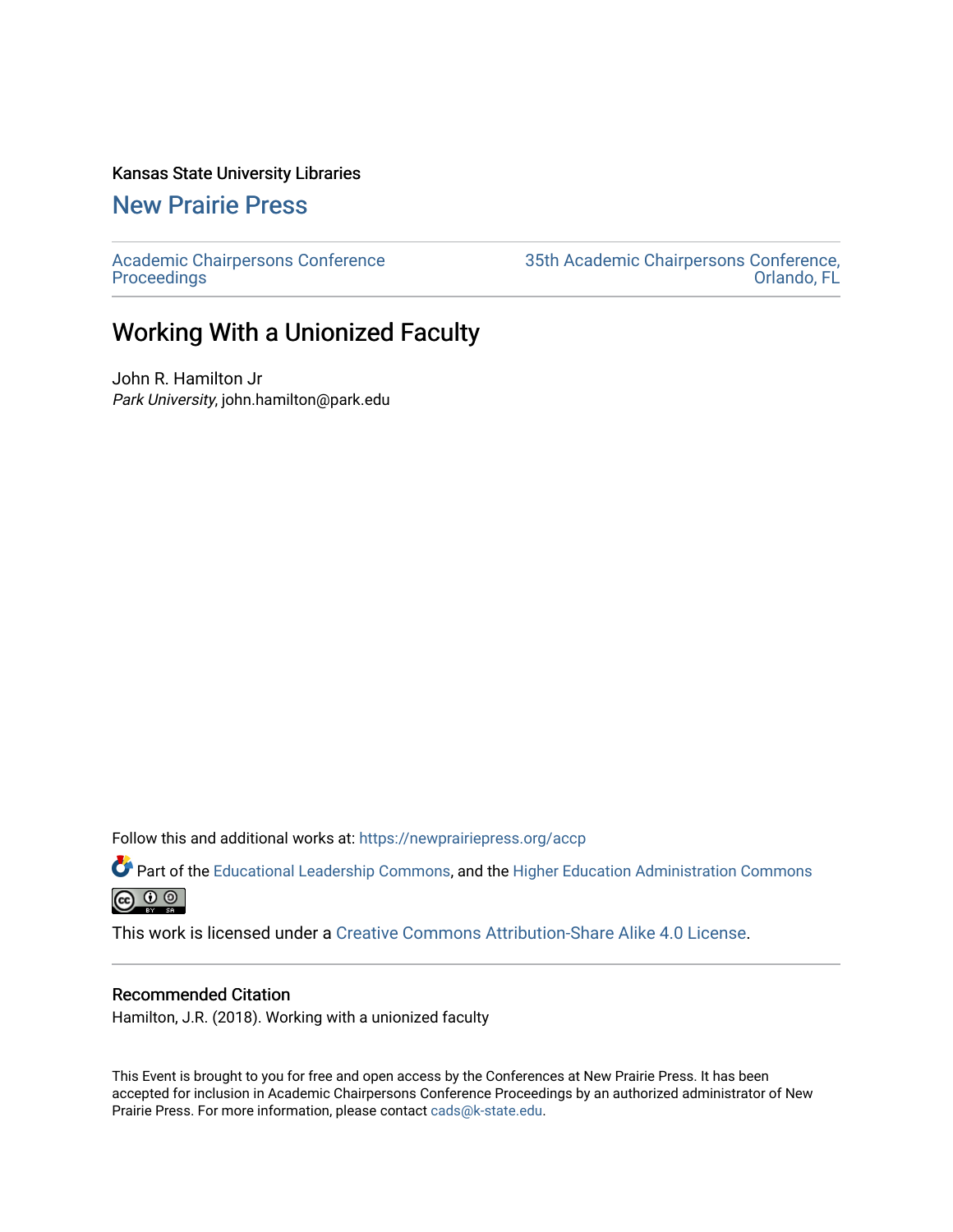#### Kansas State University Libraries

### [New Prairie Press](https://newprairiepress.org/)

[Academic Chairpersons Conference](https://newprairiepress.org/accp)  **Proceedings** 

[35th Academic Chairpersons Conference,](https://newprairiepress.org/accp/2018)  [Orlando, FL](https://newprairiepress.org/accp/2018) 

## Working With a Unionized Faculty

John R. Hamilton Jr Park University, john.hamilton@park.edu

Follow this and additional works at: [https://newprairiepress.org/accp](https://newprairiepress.org/accp?utm_source=newprairiepress.org%2Faccp%2F2018%2Fcolleagues%2F8&utm_medium=PDF&utm_campaign=PDFCoverPages) 

Part of the [Educational Leadership Commons,](http://network.bepress.com/hgg/discipline/1230?utm_source=newprairiepress.org%2Faccp%2F2018%2Fcolleagues%2F8&utm_medium=PDF&utm_campaign=PDFCoverPages) and the [Higher Education Administration Commons](http://network.bepress.com/hgg/discipline/791?utm_source=newprairiepress.org%2Faccp%2F2018%2Fcolleagues%2F8&utm_medium=PDF&utm_campaign=PDFCoverPages)



This work is licensed under a [Creative Commons Attribution-Share Alike 4.0 License.](https://creativecommons.org/licenses/by-sa/4.0/)

#### Recommended Citation

Hamilton, J.R. (2018). Working with a unionized faculty

This Event is brought to you for free and open access by the Conferences at New Prairie Press. It has been accepted for inclusion in Academic Chairpersons Conference Proceedings by an authorized administrator of New Prairie Press. For more information, please contact [cads@k-state.edu.](mailto:cads@k-state.edu)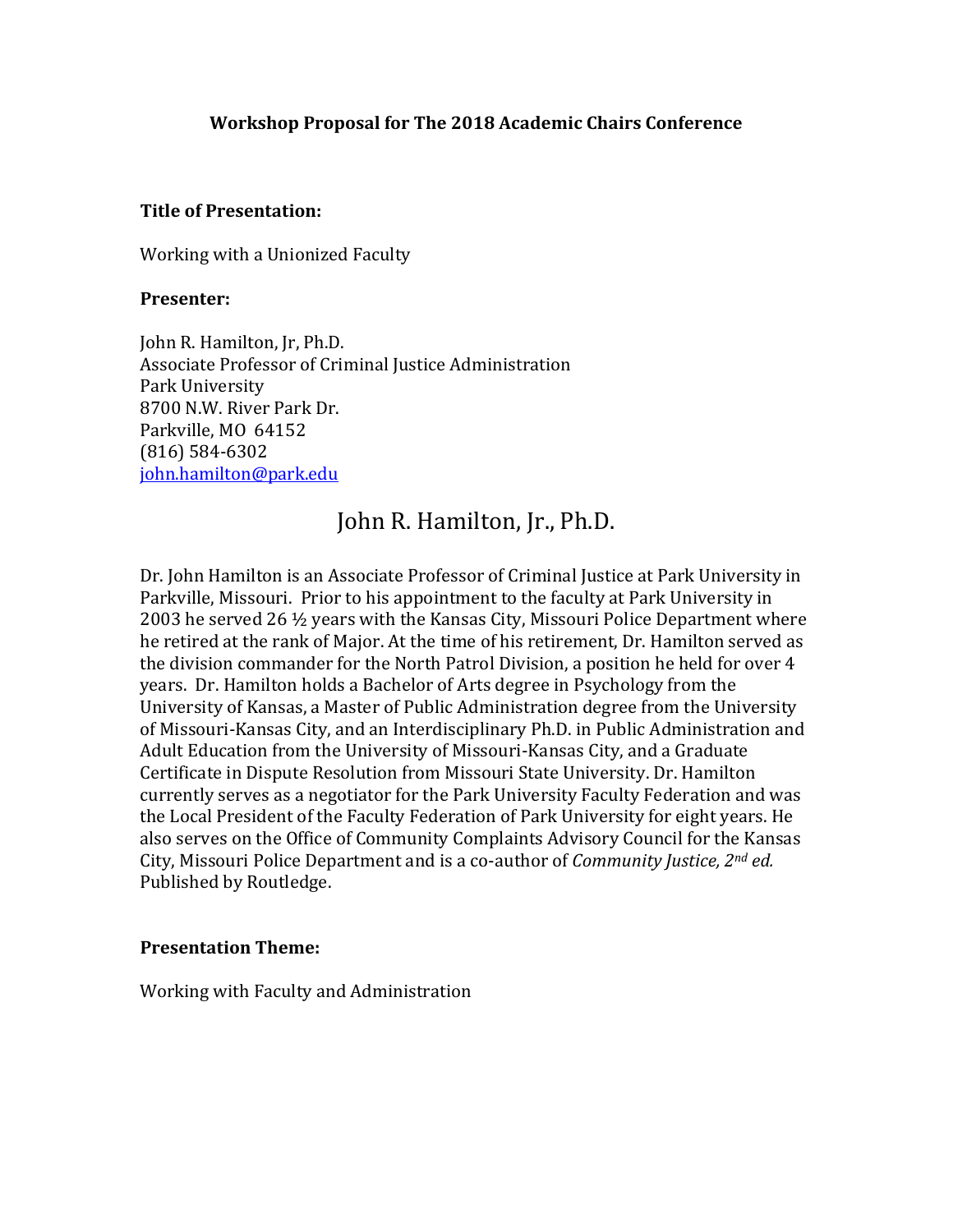#### **Workshop Proposal for The 2018 Academic Chairs Conference**

#### **Title of Presentation:**

Working with a Unionized Faculty

#### **Presenter:**

John R. Hamilton, Jr, Ph.D. Associate Professor of Criminal Justice Administration Park University 8700 N.W. River Park Dr. Parkville, MO 64152 (816) 584-6302 [john.hamilton@park.edu](mailto:john.hamilton@park.edu)

# John R. Hamilton, Jr., Ph.D.

Dr. John Hamilton is an Associate Professor of Criminal Justice at Park University in Parkville, Missouri. Prior to his appointment to the faculty at Park University in 2003 he served 26 ½ years with the Kansas City, Missouri Police Department where he retired at the rank of Major. At the time of his retirement, Dr. Hamilton served as the division commander for the North Patrol Division, a position he held for over 4 years. Dr. Hamilton holds a Bachelor of Arts degree in Psychology from the University of Kansas, a Master of Public Administration degree from the University of Missouri-Kansas City, and an Interdisciplinary Ph.D. in Public Administration and Adult Education from the University of Missouri-Kansas City, and a Graduate Certificate in Dispute Resolution from Missouri State University. Dr. Hamilton currently serves as a negotiator for the Park University Faculty Federation and was the Local President of the Faculty Federation of Park University for eight years. He also serves on the Office of Community Complaints Advisory Council for the Kansas City, Missouri Police Department and is a co-author of *Community Justice, 2nd ed.*  Published by Routledge.

#### **Presentation Theme:**

Working with Faculty and Administration